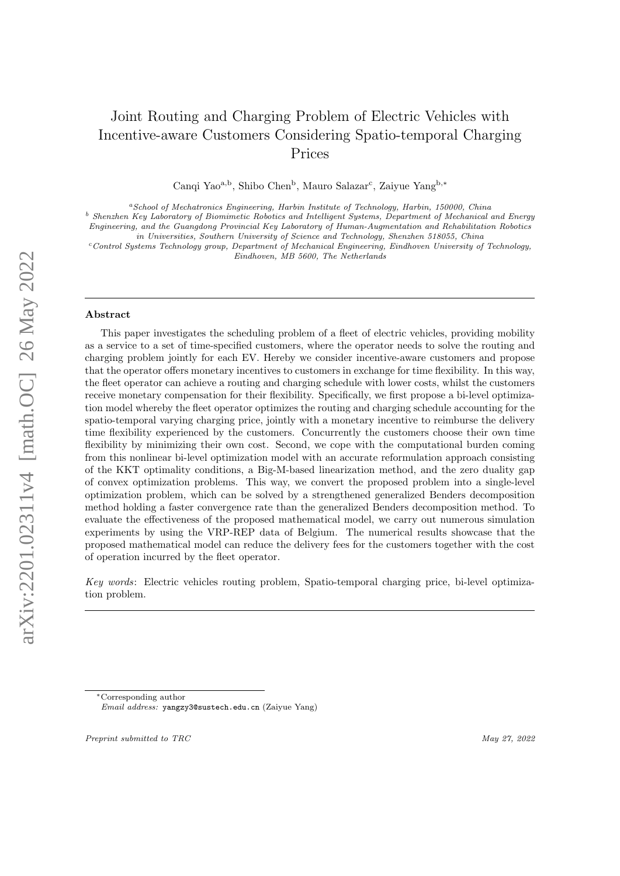# Joint Routing and Charging Problem of Electric Vehicles with Incentive-aware Customers Considering Spatio-temporal Charging Prices

Canqi Yao<sup>a,b</sup>, Shibo Chen<sup>b</sup>, Mauro Salazar<sup>c</sup>, Zaiyue Yang<sup>b,\*</sup>

 $a$ School of Mechatronics Engineering, Harbin Institute of Technology, Harbin, 150000, China

<sup>b</sup> Shenzhen Key Laboratory of Biomimetic Robotics and Intelligent Systems, Department of Mechanical and Energy Engineering, and the Guangdong Provincial Key Laboratory of Human-Augmentation and Rehabilitation Robotics

in Universities, Southern University of Science and Technology, Shenzhen 518055, China

 $c$ Control Systems Technology group, Department of Mechanical Engineering, Eindhoven University of Technology, Eindhoven, MB 5600, The Netherlands

#### Abstract

This paper investigates the scheduling problem of a fleet of electric vehicles, providing mobility as a service to a set of time-specified customers, where the operator needs to solve the routing and charging problem jointly for each EV. Hereby we consider incentive-aware customers and propose that the operator offers monetary incentives to customers in exchange for time flexibility. In this way, the fleet operator can achieve a routing and charging schedule with lower costs, whilst the customers receive monetary compensation for their flexibility. Specifically, we first propose a bi-level optimization model whereby the fleet operator optimizes the routing and charging schedule accounting for the spatio-temporal varying charging price, jointly with a monetary incentive to reimburse the delivery time flexibility experienced by the customers. Concurrently the customers choose their own time flexibility by minimizing their own cost. Second, we cope with the computational burden coming from this nonlinear bi-level optimization model with an accurate reformulation approach consisting of the KKT optimality conditions, a Big-M-based linearization method, and the zero duality gap of convex optimization problems. This way, we convert the proposed problem into a single-level optimization problem, which can be solved by a strengthened generalized Benders decomposition method holding a faster convergence rate than the generalized Benders decomposition method. To evaluate the effectiveness of the proposed mathematical model, we carry out numerous simulation experiments by using the VRP-REP data of Belgium. The numerical results showcase that the proposed mathematical model can reduce the delivery fees for the customers together with the cost of operation incurred by the fleet operator.

Key words: Electric vehicles routing problem, Spatio-temporal charging price, bi-level optimization problem.

Preprint submitted to TRC May 27, 2022

<sup>∗</sup>Corresponding author

Email address: yangzy3@sustech.edu.cn (Zaiyue Yang)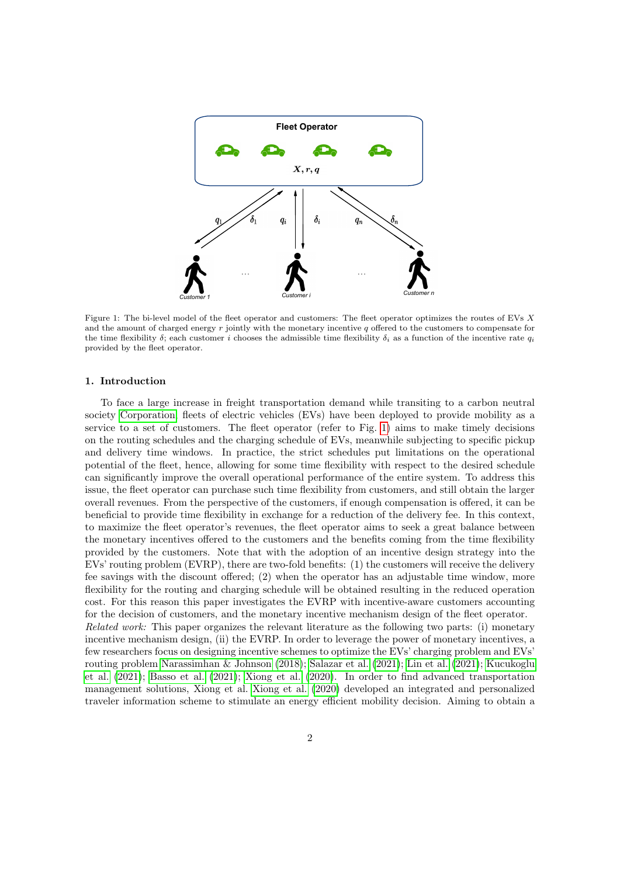<span id="page-1-0"></span>

Figure 1: The bi-level model of the fleet operator and customers: The fleet operator optimizes the routes of EVs X and the amount of charged energy  $r$  jointly with the monetary incentive  $q$  offered to the customers to compensate for the time flexibility  $\delta$ ; each customer i chooses the admissible time flexibility  $\delta_i$  as a function of the incentive rate  $q_i$ provided by the fleet operator.

#### 1. Introduction

To face a large increase in freight transportation demand while transiting to a carbon neutral society [Corporation,](#page-18-0) fleets of electric vehicles (EVs) have been deployed to provide mobility as a service to a set of customers. The fleet operator (refer to Fig. [1\)](#page-1-0) aims to make timely decisions on the routing schedules and the charging schedule of EVs, meanwhile subjecting to specific pickup and delivery time windows. In practice, the strict schedules put limitations on the operational potential of the fleet, hence, allowing for some time flexibility with respect to the desired schedule can significantly improve the overall operational performance of the entire system. To address this issue, the fleet operator can purchase such time flexibility from customers, and still obtain the larger overall revenues. From the perspective of the customers, if enough compensation is offered, it can be beneficial to provide time flexibility in exchange for a reduction of the delivery fee. In this context, to maximize the fleet operator's revenues, the fleet operator aims to seek a great balance between the monetary incentives offered to the customers and the benefits coming from the time flexibility provided by the customers. Note that with the adoption of an incentive design strategy into the EVs' routing problem (EVRP), there are two-fold benefits: (1) the customers will receive the delivery fee savings with the discount offered; (2) when the operator has an adjustable time window, more flexibility for the routing and charging schedule will be obtained resulting in the reduced operation cost. For this reason this paper investigates the EVRP with incentive-aware customers accounting for the decision of customers, and the monetary incentive mechanism design of the fleet operator. Related work: This paper organizes the relevant literature as the following two parts: (i) monetary incentive mechanism design, (ii) the EVRP. In order to leverage the power of monetary incentives, a few researchers focus on designing incentive schemes to optimize the EVs' charging problem and EVs' routing problem [Narassimhan & Johnson](#page-19-0) [\(2018\)](#page-19-0); [Salazar et al.](#page-19-1) [\(2021\)](#page-19-1); [Lin et al.](#page-19-2) [\(2021\)](#page-19-2); [Kucukoglu](#page-19-3) [et al.](#page-19-3) [\(2021\)](#page-19-3); [Basso et al.](#page-18-1) [\(2021\)](#page-18-1); [Xiong et al.](#page-19-4) [\(2020\)](#page-19-4). In order to find advanced transportation management solutions, Xiong et al. [Xiong et al.](#page-19-4) [\(2020\)](#page-19-4) developed an integrated and personalized traveler information scheme to stimulate an energy efficient mobility decision. Aiming to obtain a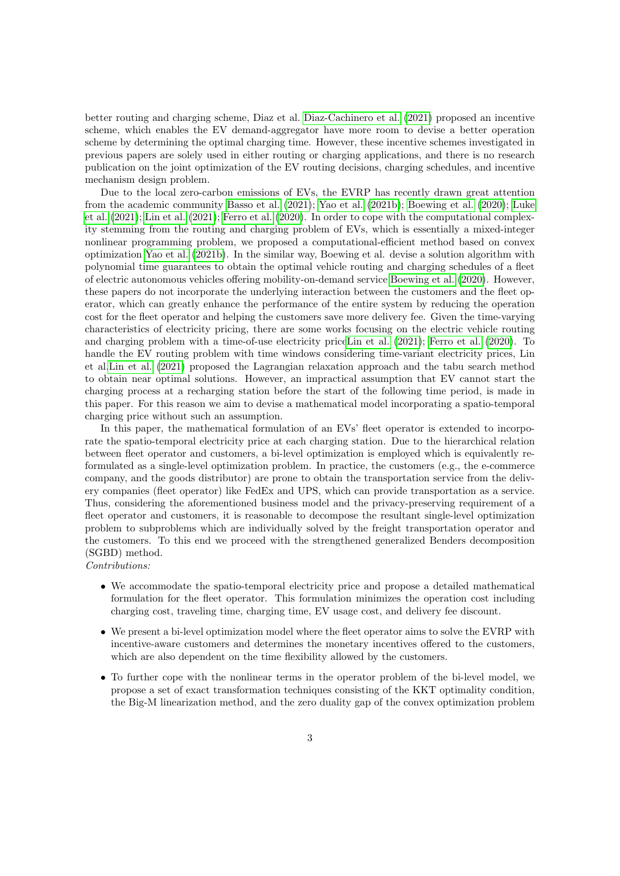better routing and charging scheme, Diaz et al. [Diaz-Cachinero et al.](#page-18-2) [\(2021\)](#page-18-2) proposed an incentive scheme, which enables the EV demand-aggregator have more room to devise a better operation scheme by determining the optimal charging time. However, these incentive schemes investigated in previous papers are solely used in either routing or charging applications, and there is no research publication on the joint optimization of the EV routing decisions, charging schedules, and incentive mechanism design problem.

Due to the local zero-carbon emissions of EVs, the EVRP has recently drawn great attention from the academic community [Basso et al.](#page-18-1) [\(2021\)](#page-18-1); [Yao et al.](#page-19-5) [\(2021b\)](#page-19-5); [Boewing et al.](#page-18-3) [\(2020\)](#page-18-3); [Luke](#page-19-6) [et al.](#page-19-6) [\(2021\)](#page-19-6); [Lin et al.](#page-19-2) [\(2021\)](#page-19-2); [Ferro et al.](#page-18-4) [\(2020\)](#page-18-4). In order to cope with the computational complexity stemming from the routing and charging problem of EVs, which is essentially a mixed-integer nonlinear programming problem, we proposed a computational-efficient method based on convex optimization [Yao et al.](#page-19-5) [\(2021b\)](#page-19-5). In the similar way, Boewing et al. devise a solution algorithm with polynomial time guarantees to obtain the optimal vehicle routing and charging schedules of a fleet of electric autonomous vehicles offering mobility-on-demand service [Boewing et al.](#page-18-3) [\(2020\)](#page-18-3). However, these papers do not incorporate the underlying interaction between the customers and the fleet operator, which can greatly enhance the performance of the entire system by reducing the operation cost for the fleet operator and helping the customers save more delivery fee. Given the time-varying characteristics of electricity pricing, there are some works focusing on the electric vehicle routing and charging problem with a time-of-use electricity pric[eLin et al.](#page-19-2) [\(2021\)](#page-19-2); [Ferro et al.](#page-18-4) [\(2020\)](#page-18-4). To handle the EV routing problem with time windows considering time-variant electricity prices, Lin et al[.Lin et al.](#page-19-2) [\(2021\)](#page-19-2) proposed the Lagrangian relaxation approach and the tabu search method to obtain near optimal solutions. However, an impractical assumption that EV cannot start the charging process at a recharging station before the start of the following time period, is made in this paper. For this reason we aim to devise a mathematical model incorporating a spatio-temporal charging price without such an assumption.

In this paper, the mathematical formulation of an EVs' fleet operator is extended to incorporate the spatio-temporal electricity price at each charging station. Due to the hierarchical relation between fleet operator and customers, a bi-level optimization is employed which is equivalently reformulated as a single-level optimization problem. In practice, the customers (e.g., the e-commerce company, and the goods distributor) are prone to obtain the transportation service from the delivery companies (fleet operator) like FedEx and UPS, which can provide transportation as a service. Thus, considering the aforementioned business model and the privacy-preserving requirement of a fleet operator and customers, it is reasonable to decompose the resultant single-level optimization problem to subproblems which are individually solved by the freight transportation operator and the customers. To this end we proceed with the strengthened generalized Benders decomposition (SGBD) method.

Contributions:

- We accommodate the spatio-temporal electricity price and propose a detailed mathematical formulation for the fleet operator. This formulation minimizes the operation cost including charging cost, traveling time, charging time, EV usage cost, and delivery fee discount.
- We present a bi-level optimization model where the fleet operator aims to solve the EVRP with incentive-aware customers and determines the monetary incentives offered to the customers, which are also dependent on the time flexibility allowed by the customers.
- To further cope with the nonlinear terms in the operator problem of the bi-level model, we propose a set of exact transformation techniques consisting of the KKT optimality condition, the Big-M linearization method, and the zero duality gap of the convex optimization problem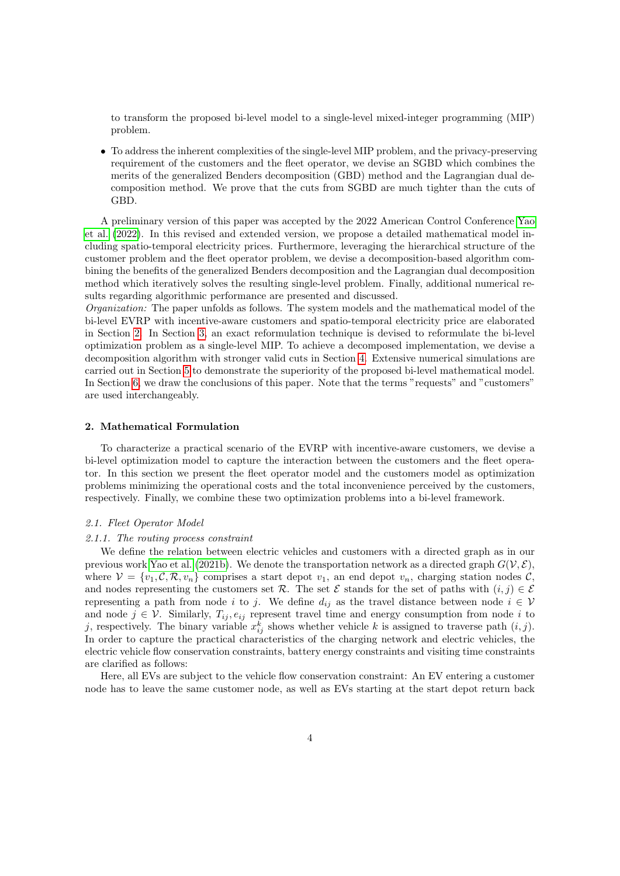to transform the proposed bi-level model to a single-level mixed-integer programming (MIP) problem.

• To address the inherent complexities of the single-level MIP problem, and the privacy-preserving requirement of the customers and the fleet operator, we devise an SGBD which combines the merits of the generalized Benders decomposition (GBD) method and the Lagrangian dual decomposition method. We prove that the cuts from SGBD are much tighter than the cuts of GBD.

A preliminary version of this paper was accepted by the 2022 American Control Conference [Yao](#page-19-7) [et al.](#page-19-7) [\(2022\)](#page-19-7). In this revised and extended version, we propose a detailed mathematical model including spatio-temporal electricity prices. Furthermore, leveraging the hierarchical structure of the customer problem and the fleet operator problem, we devise a decomposition-based algorithm combining the benefits of the generalized Benders decomposition and the Lagrangian dual decomposition method which iteratively solves the resulting single-level problem. Finally, additional numerical results regarding algorithmic performance are presented and discussed.

Organization: The paper unfolds as follows. The system models and the mathematical model of the bi-level EVRP with incentive-aware customers and spatio-temporal electricity price are elaborated in Section [2.](#page-3-0) In Section [3,](#page-7-0) an exact reformulation technique is devised to reformulate the bi-level optimization problem as a single-level MIP. To achieve a decomposed implementation, we devise a decomposition algorithm with stronger valid cuts in Section [4.](#page-9-0) Extensive numerical simulations are carried out in Section [5](#page-13-0) to demonstrate the superiority of the proposed bi-level mathematical model. In Section [6,](#page-15-0) we draw the conclusions of this paper. Note that the terms "requests" and "customers" are used interchangeably.

# <span id="page-3-0"></span>2. Mathematical Formulation

To characterize a practical scenario of the EVRP with incentive-aware customers, we devise a bi-level optimization model to capture the interaction between the customers and the fleet operator. In this section we present the fleet operator model and the customers model as optimization problems minimizing the operational costs and the total inconvenience perceived by the customers, respectively. Finally, we combine these two optimization problems into a bi-level framework.

# 2.1. Fleet Operator Model

#### 2.1.1. The routing process constraint

We define the relation between electric vehicles and customers with a directed graph as in our previous work [Yao et al.](#page-19-5) [\(2021b\)](#page-19-5). We denote the transportation network as a directed graph  $G(V, \mathcal{E})$ , where  $V = \{v_1, \mathcal{C}, \mathcal{R}, v_n\}$  comprises a start depot  $v_1$ , an end depot  $v_n$ , charging station nodes  $\mathcal{C}$ , and nodes representing the customers set R. The set  $\mathcal E$  stands for the set of paths with  $(i, j) \in \mathcal E$ representing a path from node i to j. We define  $d_{ij}$  as the travel distance between node  $i \in V$ and node  $j \in V$ . Similarly,  $T_{ij}, e_{ij}$  represent travel time and energy consumption from node i to j, respectively. The binary variable  $x_{ij}^k$  shows whether vehicle k is assigned to traverse path  $(i, j)$ . In order to capture the practical characteristics of the charging network and electric vehicles, the electric vehicle flow conservation constraints, battery energy constraints and visiting time constraints are clarified as follows:

Here, all EVs are subject to the vehicle flow conservation constraint: An EV entering a customer node has to leave the same customer node, as well as EVs starting at the start depot return back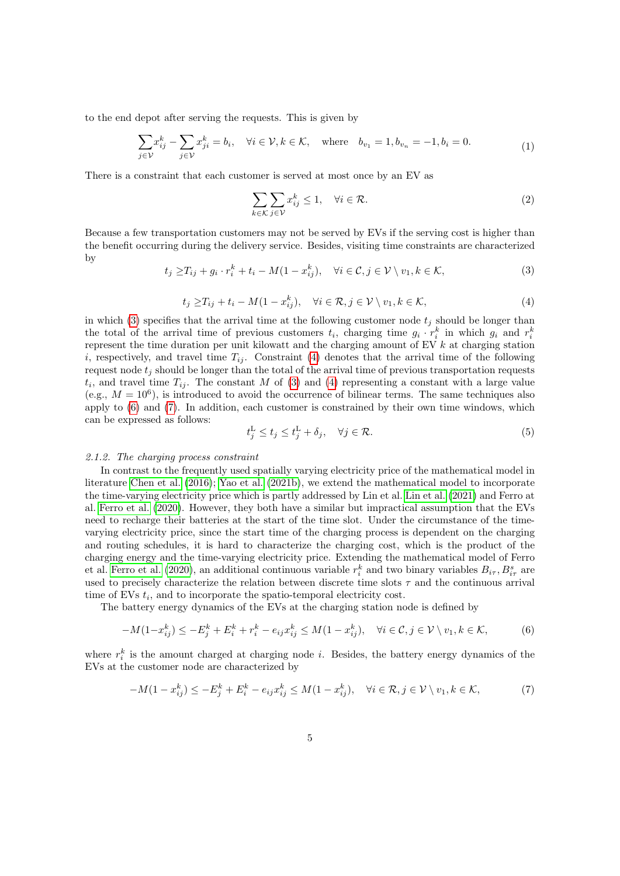to the end depot after serving the requests. This is given by

$$
\sum_{j \in \mathcal{V}} x_{ij}^k - \sum_{j \in \mathcal{V}} x_{ji}^k = b_i, \quad \forall i \in \mathcal{V}, k \in \mathcal{K}, \quad \text{where} \quad b_{v_1} = 1, b_{v_n} = -1, b_i = 0. \tag{1}
$$

There is a constraint that each customer is served at most once by an EV as

<span id="page-4-4"></span>
$$
\sum_{k \in \mathcal{K}} \sum_{j \in \mathcal{V}} x_{ij}^k \le 1, \quad \forall i \in \mathcal{R}.\tag{2}
$$

<span id="page-4-0"></span>Because a few transportation customers may not be served by EVs if the serving cost is higher than the benefit occurring during the delivery service. Besides, visiting time constraints are characterized by

$$
t_j \geq T_{ij} + g_i \cdot r_i^k + t_i - M(1 - x_{ij}^k), \quad \forall i \in \mathcal{C}, j \in \mathcal{V} \setminus v_1, k \in \mathcal{K},
$$
\n
$$
(3)
$$

$$
t_j \geq T_{ij} + t_i - M(1 - x_{ij}^k), \quad \forall i \in \mathcal{R}, j \in \mathcal{V} \setminus v_1, k \in \mathcal{K},
$$
\n
$$
\tag{4}
$$

<span id="page-4-1"></span>in which [\(3\)](#page-4-0) specifies that the arrival time at the following customer node  $t_i$  should be longer than the total of the arrival time of previous customers  $t_i$ , charging time  $g_i \cdot r_i^k$  in which  $g_i$  and  $r_i^k$ represent the time duration per unit kilowatt and the charging amount of EV  $k$  at charging station i, respectively, and travel time  $T_{ij}$ . Constraint [\(4\)](#page-4-1) denotes that the arrival time of the following request node  $t_i$  should be longer than the total of the arrival time of previous transportation requests  $t_i$ , and travel time  $T_{ij}$ . The constant M of [\(3\)](#page-4-0) and [\(4\)](#page-4-1) representing a constant with a large value (e.g.,  $M = 10^6$ ), is introduced to avoid the occurrence of bilinear terms. The same techniques also apply to [\(6\)](#page-4-2) and [\(7\)](#page-4-3). In addition, each customer is constrained by their own time windows, which can be expressed as follows:

<span id="page-4-2"></span>
$$
t_j^{\mathcal{L}} \le t_j \le t_j^{\mathcal{L}} + \delta_j, \quad \forall j \in \mathcal{R}.\tag{5}
$$

#### 2.1.2. The charging process constraint

In contrast to the frequently used spatially varying electricity price of the mathematical model in literature [Chen et al.](#page-18-5) [\(2016\)](#page-18-5); [Yao et al.](#page-19-5) [\(2021b\)](#page-19-5), we extend the mathematical model to incorporate the time-varying electricity price which is partly addressed by Lin et al. [Lin et al.](#page-19-2) [\(2021\)](#page-19-2) and Ferro at al. [Ferro et al.](#page-18-4) [\(2020\)](#page-18-4). However, they both have a similar but impractical assumption that the EVs need to recharge their batteries at the start of the time slot. Under the circumstance of the timevarying electricity price, since the start time of the charging process is dependent on the charging and routing schedules, it is hard to characterize the charging cost, which is the product of the charging energy and the time-varying electricity price. Extending the mathematical model of Ferro et al. [Ferro et al.](#page-18-4) [\(2020\)](#page-18-4), an additional continuous variable  $r_i^k$  and two binary variables  $B_{i\tau}$ ,  $B_{i\tau}^s$  are used to precisely characterize the relation between discrete time slots  $\tau$  and the continuous arrival time of EVs  $t_i$ , and to incorporate the spatio-temporal electricity cost.

The battery energy dynamics of the EVs at the charging station node is defined by

$$
-M(1-x_{ij}^k) \le -E_j^k + E_i^k + r_i^k - e_{ij}x_{ij}^k \le M(1-x_{ij}^k), \quad \forall i \in \mathcal{C}, j \in \mathcal{V} \setminus v_1, k \in \mathcal{K},
$$
 (6)

where  $r_i^k$  is the amount charged at charging node *i*. Besides, the battery energy dynamics of the EVs at the customer node are characterized by

<span id="page-4-3"></span>
$$
-M(1-x_{ij}^k) \le -E_j^k + E_i^k - e_{ij}x_{ij}^k \le M(1-x_{ij}^k), \quad \forall i \in \mathcal{R}, j \in \mathcal{V} \setminus v_1, k \in \mathcal{K},\tag{7}
$$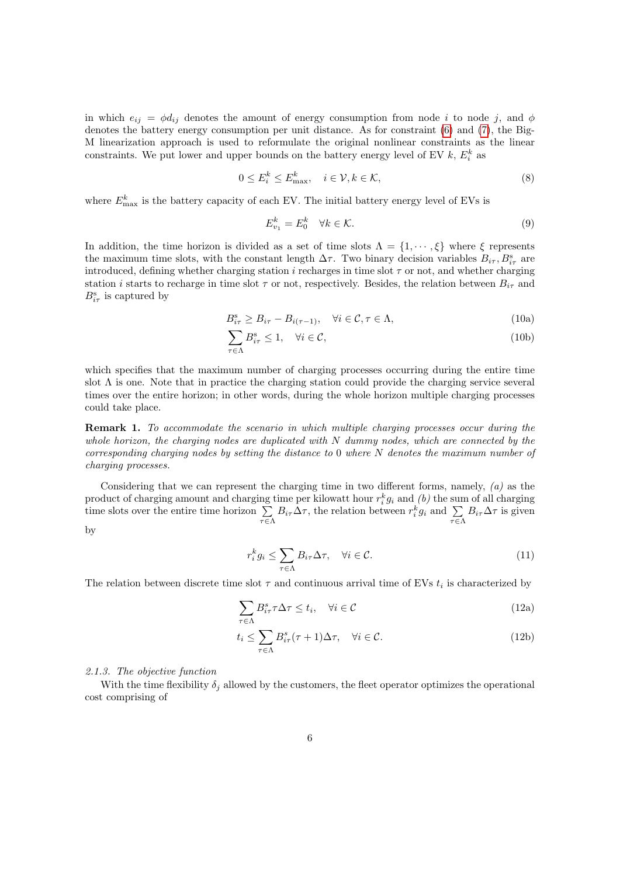in which  $e_{ij} = \phi d_{ij}$  denotes the amount of energy consumption from node i to node j, and  $\phi$ denotes the battery energy consumption per unit distance. As for constraint [\(6\)](#page-4-2) and [\(7\)](#page-4-3), the Big-M linearization approach is used to reformulate the original nonlinear constraints as the linear constraints. We put lower and upper bounds on the battery energy level of EV  $k, E_i^k$  as

$$
0 \le E_i^k \le E_{\text{max}}^k, \quad i \in \mathcal{V}, k \in \mathcal{K}, \tag{8}
$$

where  $E_{\text{max}}^k$  is the battery capacity of each EV. The initial battery energy level of EVs is

$$
E_{v_1}^k = E_0^k \quad \forall k \in \mathcal{K}.\tag{9}
$$

In addition, the time horizon is divided as a set of time slots  $\Lambda = \{1, \dots, \xi\}$  where  $\xi$  represents the maximum time slots, with the constant length  $\Delta \tau$ . Two binary decision variables  $B_{i\tau}$ ,  $B_{i\tau}^s$  are introduced, defining whether charging station  $i$  recharges in time slot  $\tau$  or not, and whether charging station *i* starts to recharge in time slot  $\tau$  or not, respectively. Besides, the relation between  $B_{i\tau}$  and  $B_{i\tau}^{\rm s}$  is captured by

$$
B_{i\tau}^s \ge B_{i\tau} - B_{i(\tau - 1)}, \quad \forall i \in \mathcal{C}, \tau \in \Lambda,
$$
\n(10a)

$$
\sum_{\tau \in \Lambda} B_{i\tau}^s \le 1, \quad \forall i \in \mathcal{C},\tag{10b}
$$

which specifies that the maximum number of charging processes occurring during the entire time slot  $\Lambda$  is one. Note that in practice the charging station could provide the charging service several times over the entire horizon; in other words, during the whole horizon multiple charging processes could take place.

Remark 1. To accommodate the scenario in which multiple charging processes occur during the whole horizon, the charging nodes are duplicated with  $N$  dummy nodes, which are connected by the corresponding charging nodes by setting the distance to 0 where N denotes the maximum number of charging processes.

Considering that we can represent the charging time in two different forms, namely, (a) as the product of charging amount and charging time per kilowatt hour  $r_i^k g_i$  and  $(b)$  the sum of all charging time slots over the entire time horizon  $\Sigma$  $\sum_{\tau \in \Lambda} B_{i\tau} \Delta \tau$ , the relation between  $r_i^k g_i$  and  $\sum_{\tau \in \Lambda} B_{i\tau} \Delta \tau$  is given by

$$
r_i^k g_i \le \sum_{\tau \in \Lambda} B_{i\tau} \Delta \tau, \quad \forall i \in \mathcal{C}.
$$
\n(11)

The relation between discrete time slot  $\tau$  and continuous arrival time of EVs  $t_i$  is characterized by

$$
\sum_{\tau \in \Lambda} B_{i\tau}^s \tau \Delta \tau \le t_i, \quad \forall i \in \mathcal{C}
$$
\n(12a)

$$
t_i \le \sum_{\tau \in \Lambda} B_{i\tau}^s(\tau + 1)\Delta \tau, \quad \forall i \in \mathcal{C}.
$$
 (12b)

#### 2.1.3. The objective function

With the time flexibility  $\delta_i$  allowed by the customers, the fleet operator optimizes the operational cost comprising of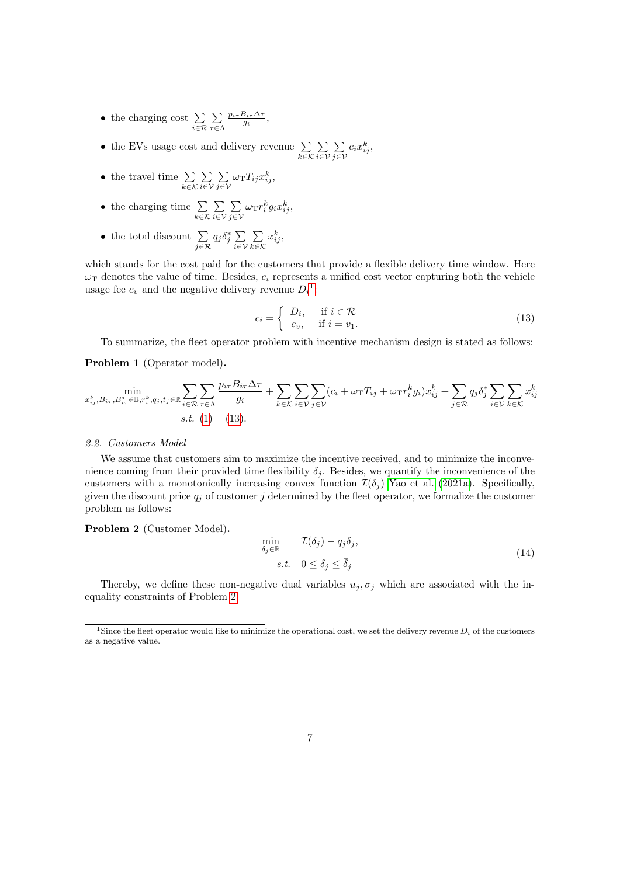- the charging cost  $\sum_{i \in \mathcal{R}}$  $\sum$ τ∈Λ  $\frac{p_{i\tau}B_{i\tau}\Delta\tau}{g_i},$
- the EVs usage cost and delivery revenue  $\sum_{k \in \mathcal{K}}$  $\sum$ i∈V  $\sum$  $\sum_{j\in\mathcal{V}}c_ix_{ij}^k,$
- the travel time  $\sum_{k \in \mathcal{K}}$  $\sum$ i∈V  $\sum$  $\sum_{j\in\mathcal{V}}\omega_{\rm T}T_{ij}x_{ij}^k,$
- the charging time  $\sum_{k \in \mathcal{K}}$ P i∈V P  $\sum_{j\in\mathcal{V}}\omega_{\mathrm{T}}r_{i}^{k}g_{i}x_{ij}^{k},$
- the total discount  $\sum_{j \in \mathcal{R}} q_j \delta_j^* \sum_{i \in \mathcal{V}}$ i∈V  $\sum$ k∈K  $x_{ij}^k$

<span id="page-6-1"></span>which stands for the cost paid for the customers that provide a flexible delivery time window. Here  $\omega_{\rm T}$  denotes the value of time. Besides,  $c_i$  represents a unified cost vector capturing both the vehicle usage fee  $c_v$  and the negative delivery revenue  $D_i^{\{1\}}$  $D_i^{\{1\}}$  $D_i^{\{1\}}$ :

$$
c_i = \begin{cases} D_i, & \text{if } i \in \mathcal{R} \\ c_v, & \text{if } i = v_1. \end{cases}
$$
 (13)

To summarize, the fleet operator problem with incentive mechanism design is stated as follows:

Problem 1 (Operator model).

$$
\min_{x_{ij}^k, B_{i\tau}, B_{i\tau}^s \in \mathbb{B}, r_i^k, q_j, t_j \in \mathbb{R}} \sum_{i \in \mathcal{R}} \sum_{\tau \in \Lambda} \frac{p_{i\tau} B_{i\tau} \Delta \tau}{g_i} + \sum_{k \in \mathcal{K}} \sum_{i \in \mathcal{V}} \sum_{j \in \mathcal{V}} (c_i + \omega_{\text{T}} T_{ij} + \omega_{\text{T}} r_i^k g_i) x_{ij}^k + \sum_{j \in \mathcal{R}} q_j \delta_j^* \sum_{i \in \mathcal{V}} \sum_{k \in \mathcal{K}} x_{ij}^k
$$
  
s.t. (1) – (13).

#### 2.2. Customers Model

We assume that customers aim to maximize the incentive received, and to minimize the inconvenience coming from their provided time flexibility  $\delta_j$ . Besides, we quantify the inconvenience of the customers with a monotonically increasing convex function  $\mathcal{I}(\delta_i)$  [Yao et al.](#page-19-8) [\(2021a\)](#page-19-8). Specifically, given the discount price  $q_j$  of customer j determined by the fleet operator, we formalize the customer problem as follows:

<span id="page-6-2"></span>Problem 2 (Customer Model).

$$
\min_{\delta_j \in \mathbb{R}} \quad \mathcal{I}(\delta_j) - q_j \delta_j,
$$
\n
$$
s.t. \quad 0 \le \delta_j \le \bar{\delta}_j
$$
\n
$$
(14)
$$

Thereby, we define these non-negative dual variables  $u_j, \sigma_j$  which are associated with the inequality constraints of Problem [2.](#page-6-2)

<span id="page-6-0"></span><sup>&</sup>lt;sup>1</sup>Since the fleet operator would like to minimize the operational cost, we set the delivery revenue  $D_i$  of the customers as a negative value.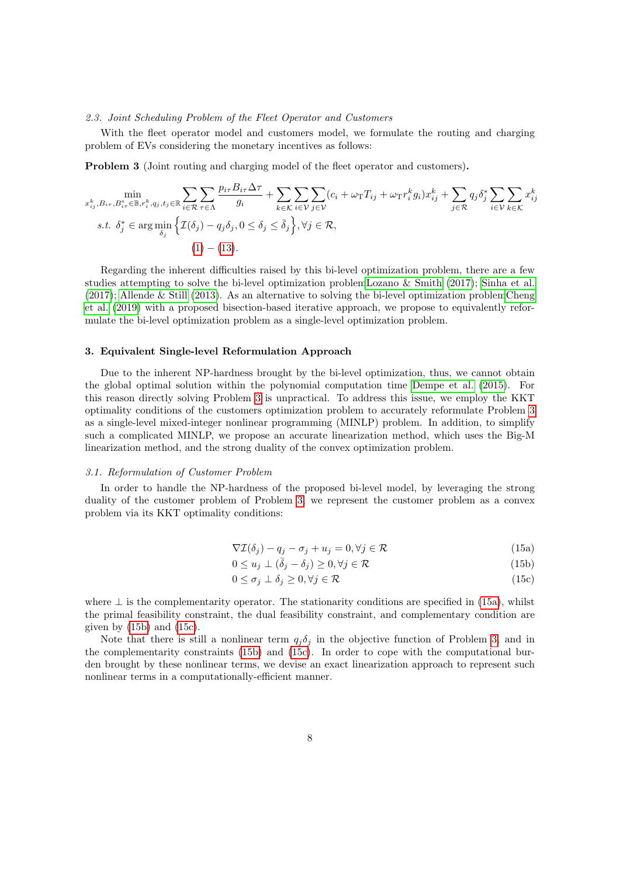#### 2.3. Joint Scheduling Problem of the Fleet Operator and Customers

With the fleet operator model and customers model, we formulate the routing and charging problem of EVs considering the monetary incentives as follows:

<span id="page-7-1"></span>Problem 3 (Joint routing and charging model of the fleet operator and customers).

$$
\min_{x_{ij}^k, B_{i\tau}, B_{i\tau}^s \in \mathbb{B}, r_i^k, q_j, t_j \in \mathbb{R}} \sum_{i \in \mathcal{R}} \sum_{\tau \in \Lambda} \frac{p_{i\tau} B_{i\tau} \Delta \tau}{g_i} + \sum_{k \in \mathcal{K}} \sum_{i \in \mathcal{V}} \sum_{j \in \mathcal{V}} (c_i + \omega_{\text{T}} T_{ij} + \omega_{\text{T}} r_i^k g_i) x_{ij}^k + \sum_{j \in \mathcal{R}} q_j \delta_j^* \sum_{i \in \mathcal{V}} \sum_{k \in \mathcal{K}} x_{ij}^k
$$
\n
$$
s.t. \delta_j^* \in \arg \min_{\delta_j} \left\{ \mathcal{I}(\delta_j) - q_j \delta_j, 0 \le \delta_j \le \bar{\delta}_j \right\}, \forall j \in \mathcal{R},
$$
\n
$$
(1) - (13).
$$

Regarding the inherent difficulties raised by this bi-level optimization problem, there are a few studies attempting to solve the bi-level optimization proble[mLozano & Smith](#page-19-9) [\(2017\)](#page-19-9); [Sinha et al.](#page-19-10) [\(2017\)](#page-19-10); [Allende & Still](#page-18-6) [\(2013\)](#page-18-6). As an alternative to solving the bi-level optimization proble[mCheng](#page-18-7) [et al.](#page-18-7) [\(2019\)](#page-18-7) with a proposed bisection-based iterative approach, we propose to equivalently reformulate the bi-level optimization problem as a single-level optimization problem.

# <span id="page-7-0"></span>3. Equivalent Single-level Reformulation Approach

Due to the inherent NP-hardness brought by the bi-level optimization, thus, we cannot obtain the global optimal solution within the polynomial computation time [Dempe et al.](#page-18-8) [\(2015\)](#page-18-8). For this reason directly solving Problem [3](#page-7-1) is unpractical. To address this issue, we employ the KKT optimality conditions of the customers optimization problem to accurately reformulate Problem [3](#page-7-1) as a single-level mixed-integer nonlinear programming (MINLP) problem. In addition, to simplify such a complicated MINLP, we propose an accurate linearization method, which uses the Big-M linearization method, and the strong duality of the convex optimization problem.

#### 3.1. Reformulation of Customer Problem

In order to handle the NP-hardness of the proposed bi-level model, by leveraging the strong duality of the customer problem of Problem [3,](#page-7-1) we represent the customer problem as a convex problem via its KKT optimality conditions:

<span id="page-7-3"></span><span id="page-7-2"></span>
$$
\nabla \mathcal{I}(\delta_j) - q_j - \sigma_j + u_j = 0, \forall j \in \mathcal{R}
$$
\n(15a)

$$
0 \le u_j \perp (\bar{\delta}_j - \delta_j) \ge 0, \forall j \in \mathcal{R}
$$
\n
$$
(15b)
$$

<span id="page-7-4"></span>
$$
0 \le \sigma_j \perp \delta_j \ge 0, \forall j \in \mathcal{R} \tag{15c}
$$

where  $\perp$  is the complementarity operator. The stationarity conditions are specified in [\(15a\)](#page-7-2), whilst the primal feasibility constraint, the dual feasibility constraint, and complementary condition are given by  $(15b)$  and  $(15c)$ .

Note that there is still a nonlinear term  $q_j \delta_j$  in the objective function of Problem [3,](#page-7-1) and in the complementarity constraints [\(15b\)](#page-7-3) and [\(15c\)](#page-7-4). In order to cope with the computational burden brought by these nonlinear terms, we devise an exact linearization approach to represent such nonlinear terms in a computationally-efficient manner.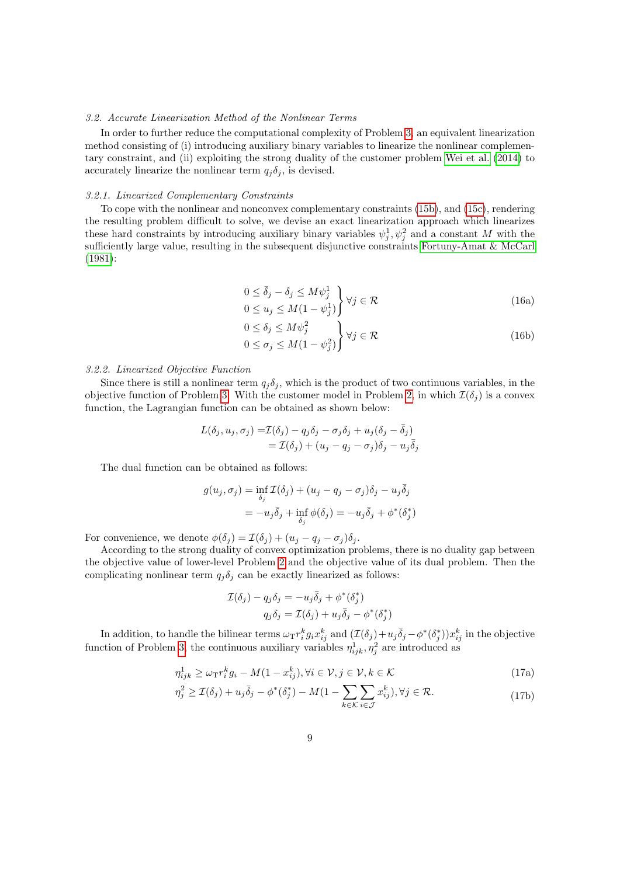#### 3.2. Accurate Linearization Method of the Nonlinear Terms

In order to further reduce the computational complexity of Problem [3,](#page-7-1) an equivalent linearization method consisting of (i) introducing auxiliary binary variables to linearize the nonlinear complementary constraint, and (ii) exploiting the strong duality of the customer problem [Wei et al.](#page-19-11) [\(2014\)](#page-19-11) to accurately linearize the nonlinear term  $q_i \delta_j$ , is devised.

### 3.2.1. Linearized Complementary Constraints

<span id="page-8-0"></span>To cope with the nonlinear and nonconvex complementary constraints [\(15b\)](#page-7-3), and [\(15c\)](#page-7-4), rendering the resulting problem difficult to solve, we devise an exact linearization approach which linearizes these hard constraints by introducing auxiliary binary variables  $\psi_j^1, \psi_j^2$  and a constant M with the sufficiently large value, resulting in the subsequent disjunctive constraints [Fortuny-Amat & McCarl](#page-18-9) [\(1981\)](#page-18-9):

$$
0 \le \bar{\delta}_j - \delta_j \le M \psi_j^1
$$
  
 
$$
0 \le u_j \le M(1 - \psi_j^1) \Big\} \forall j \in \mathcal{R}
$$
 (16a)

<span id="page-8-1"></span>
$$
0 \le \delta_j \le M\psi_j^2
$$
  
 
$$
0 \le \sigma_j \le M(1 - \psi_j^2) \quad \forall j \in \mathcal{R}
$$
 (16b)

# 3.2.2. Linearized Objective Function

Since there is still a nonlinear term  $q_i \delta_i$ , which is the product of two continuous variables, in the objective function of Problem [3.](#page-7-1) With the customer model in Problem [2,](#page-6-2) in which  $\mathcal{I}(\delta_i)$  is a convex function, the Lagrangian function can be obtained as shown below:

$$
L(\delta_j, u_j, \sigma_j) = \mathcal{I}(\delta_j) - q_j \delta_j - \sigma_j \delta_j + u_j (\delta_j - \bar{\delta}_j)
$$
  
=  $\mathcal{I}(\delta_j) + (u_j - q_j - \sigma_j) \delta_j - u_j \bar{\delta}_j$ 

The dual function can be obtained as follows:

$$
g(u_j, \sigma_j) = \inf_{\delta_j} \mathcal{I}(\delta_j) + (u_j - q_j - \sigma_j)\delta_j - u_j \overline{\delta}_j
$$
  
=  $-u_j \overline{\delta}_j + \inf_{\delta_j} \phi(\delta_j) = -u_j \overline{\delta}_j + \phi^*(\delta_j^*)$ 

For convenience, we denote  $\phi(\delta_j) = \mathcal{I}(\delta_j) + (u_j - q_j - \sigma_j)\delta_j$ .

According to the strong duality of convex optimization problems, there is no duality gap between the objective value of lower-level Problem [2](#page-6-2) and the objective value of its dual problem. Then the complicating nonlinear term  $q_i \delta_i$  can be exactly linearized as follows:

$$
\mathcal{I}(\delta_j) - q_j \delta_j = -u_j \bar{\delta}_j + \phi^* (\delta_j^*)
$$
  

$$
q_j \delta_j = \mathcal{I}(\delta_j) + u_j \bar{\delta}_j - \phi^* (\delta_j^*)
$$

In addition, to handle the bilinear terms  $\omega_{\text{T}} r_i^k g_i x_{ij}^k$  and  $(\mathcal{I}(\delta_j) + u_j \bar{\delta}_j - \phi^*(\delta_j^*)) x_{ij}^k$  in the objective function of Problem [3,](#page-7-1) the continuous auxiliary variables  $\eta_{ijk}^1, \eta_j^2$  are introduced as

$$
\eta_{ijk}^1 \ge \omega_{\rm T} r_i^k g_i - M(1 - x_{ij}^k), \forall i \in \mathcal{V}, j \in \mathcal{V}, k \in \mathcal{K}
$$
\n(17a)

$$
\eta_j^2 \ge \mathcal{I}(\delta_j) + u_j \bar{\delta}_j - \phi^*(\delta_j^*) - M(1 - \sum_{k \in \mathcal{K}} \sum_{i \in \mathcal{J}} x_{ij}^k), \forall j \in \mathcal{R}.\tag{17b}
$$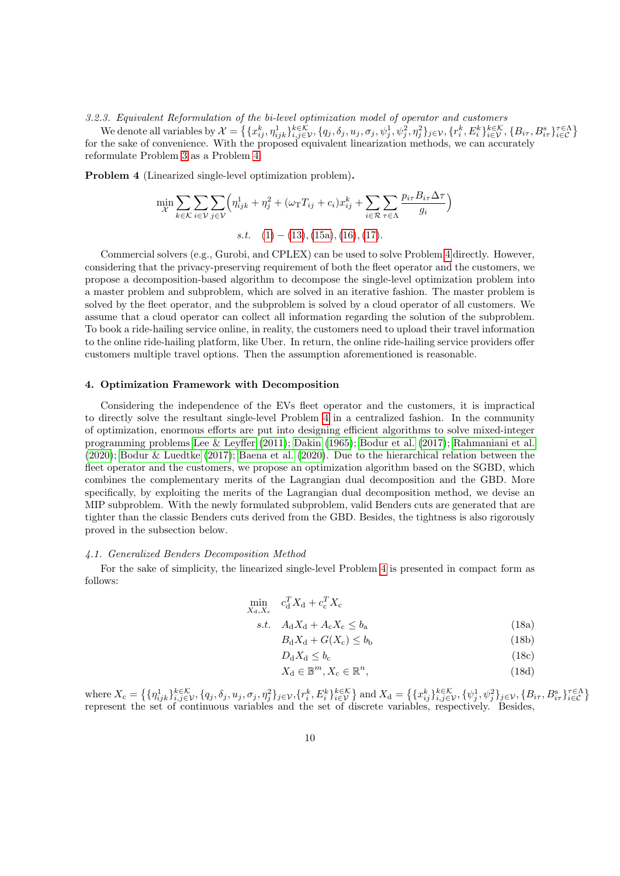3.2.3. Equivalent Reformulation of the bi-level optimization model of operator and customers

We denote all variables by  $\mathcal{X} = \left\{ \{x_{ij}^k, \eta_{ijk}^1\}_{i,j\in\mathcal{V}}^k, \{q_j, \delta_j, u_j, \sigma_j, \psi_j^1, \psi_j^2, \eta_j^2\}_{j\in\mathcal{V}}, \{r_i^k, E_i^k\}_{i\in\mathcal{V}}^k, \{B_{i\tau}, B_{i\tau}^{\mathrm{s}}\}_{i\in\mathcal{C}}^{\tau\epsilon} \right\}$ for the sake of convenience. With the proposed equivalent linearization methods, we can accurately reformulate Problem [3](#page-7-1) as a Problem [4:](#page-9-1)

<span id="page-9-1"></span>Problem 4 (Linearized single-level optimization problem).

$$
\min_{\mathcal{X}} \sum_{k \in \mathcal{K}} \sum_{i \in \mathcal{V}} \sum_{j \in \mathcal{V}} \left( \eta_{ijk}^1 + \eta_j^2 + (\omega_{\text{T}} T_{ij} + c_i) x_{ij}^k + \sum_{i \in \mathcal{R}} \sum_{\tau \in \Lambda} \frac{p_{i\tau} B_{i\tau} \Delta \tau}{g_i} \right)
$$
  
s.t. (1) - (13), (15a), (16), (17).

Commercial solvers (e.g., Gurobi, and CPLEX) can be used to solve Problem [4](#page-9-1) directly. However, considering that the privacy-preserving requirement of both the fleet operator and the customers, we propose a decomposition-based algorithm to decompose the single-level optimization problem into a master problem and subproblem, which are solved in an iterative fashion. The master problem is solved by the fleet operator, and the subproblem is solved by a cloud operator of all customers. We assume that a cloud operator can collect all information regarding the solution of the subproblem. To book a ride-hailing service online, in reality, the customers need to upload their travel information to the online ride-hailing platform, like Uber. In return, the online ride-hailing service providers offer customers multiple travel options. Then the assumption aforementioned is reasonable.

# <span id="page-9-0"></span>4. Optimization Framework with Decomposition

Considering the independence of the EVs fleet operator and the customers, it is impractical to directly solve the resultant single-level Problem [4](#page-9-1) in a centralized fashion. In the community of optimization, enormous efforts are put into designing efficient algorithms to solve mixed-integer programming problems [Lee & Leyffer](#page-19-12) [\(2011\)](#page-19-12); [Dakin](#page-18-10) [\(1965\)](#page-18-10); [Bodur et al.](#page-18-11) [\(2017\)](#page-18-11); [Rahmaniani et al.](#page-19-13) [\(2020\)](#page-19-13); [Bodur & Luedtke](#page-18-12) [\(2017\)](#page-18-12); [Baena et al.](#page-18-13) [\(2020\)](#page-18-13). Due to the hierarchical relation between the fleet operator and the customers, we propose an optimization algorithm based on the SGBD, which combines the complementary merits of the Lagrangian dual decomposition and the GBD. More specifically, by exploiting the merits of the Lagrangian dual decomposition method, we devise an MIP subproblem. With the newly formulated subproblem, valid Benders cuts are generated that are tighter than the classic Benders cuts derived from the GBD. Besides, the tightness is also rigorously proved in the subsection below.

#### 4.1. Generalized Benders Decomposition Method

For the sake of simplicity, the linearized single-level Problem [4](#page-9-1) is presented in compact form as follows:

$$
\min_{X_{\rm d}, X_{\rm c}} \quad c_{\rm d}^T X_{\rm d} + c_{\rm c}^T X_{\rm c}
$$

$$
s.t. \quad A_d X_d + A_c X_c \le b_a \tag{18a}
$$

 $B_d X_d + G(X_c) \le b_b$  (18b)

<span id="page-9-4"></span><span id="page-9-3"></span><span id="page-9-2"></span>
$$
D_{\rm d}X_{\rm d} \le b_{\rm c} \tag{18c}
$$

<span id="page-9-5"></span>
$$
X_{\mathbf{d}} \in \mathbb{B}^m, X_{\mathbf{c}} \in \mathbb{R}^n,\tag{18d}
$$

 $X_c = \left\{ \{\eta_{ijk}^1\}_{i,j\in\mathcal{V}}^{k\in\mathcal{K}}, \{q_j, \delta_j, u_j, \sigma_j, \eta_j^2\}_{j\in\mathcal{V}}, \{r_i^k, E_i^k\}_{i\in\mathcal{V}}^{k\in\mathcal{K}} \right\}$  and  $X_d = \left\{ \{x_{ij}^k\}_{i,j\in\mathcal{V}}^{k\in\mathcal{K}}, \{\psi_j^1, \psi_j^2\}_{j\in\mathcal{V}}, \{B_{i\tau}, B_{i\tau}^s\}_{i\in\mathcal{C}}^{\tau\in\Lambda} \right\}$ represent the set of continuous variables and the set of discrete variables, respectively. Besides,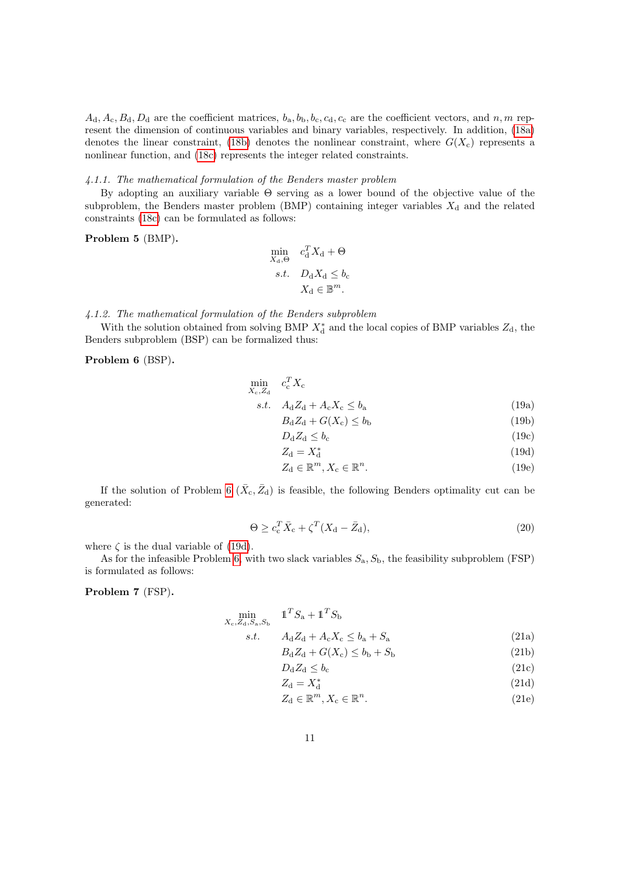$A_d$ ,  $A_c$ ,  $B_d$ ,  $D_d$  are the coefficient matrices,  $b_a$ ,  $b_b$ ,  $b_c$ ,  $c_d$ ,  $c_c$  are the coefficient vectors, and n, m represent the dimension of continuous variables and binary variables, respectively. In addition, [\(18a\)](#page-9-2) denotes the linear constraint, [\(18b\)](#page-9-3) denotes the nonlinear constraint, where  $G(X_c)$  represents a nonlinear function, and [\(18c\)](#page-9-4) represents the integer related constraints.

#### 4.1.1. The mathematical formulation of the Benders master problem

By adopting an auxiliary variable Θ serving as a lower bound of the objective value of the subproblem, the Benders master problem (BMP) containing integer variables  $X_d$  and the related constraints [\(18c\)](#page-9-4) can be formulated as follows:

#### <span id="page-10-3"></span>Problem 5 (BMP).

$$
\min_{X_{\rm d}, \Theta} \quad c_{\rm d}^T X_{\rm d} + \Theta
$$
\n
$$
s.t. \quad D_{\rm d} X_{\rm d} \le b_{\rm c}
$$
\n
$$
X_{\rm d} \in \mathbb{B}^m.
$$

4.1.2. The mathematical formulation of the Benders subproblem

With the solution obtained from solving BMP  $X^*_{\rm d}$  and the local copies of BMP variables  $Z_{\rm d}$ , the Benders subproblem (BSP) can be formalized thus:

<span id="page-10-0"></span>Problem 6 (BSP).

$$
\min_{X_c, Z_d} c_c^T X_c
$$
\n
$$
s.t. \quad A_d Z_d + A_c X_c \le b_a
$$
\n(19a)

$$
R_1 Z_1 + G(X_2 \le b_3) \tag{19a}
$$
\n
$$
R_1 Z_1 + G(X_1) < b_1 \tag{19b}
$$

$$
D_{\rm d}Z_{\rm d} + O(A_{\rm c}) \le \theta_{\rm b} \tag{19b}
$$
\n
$$
D_{\rm d}Z_{\rm d} \le b. \tag{19c}
$$

$$
Z_1 - Y^* \tag{13c}
$$
\n
$$
Z_2 - Y^* \tag{13d}
$$

$$
Z_{\rm d} = X_{\rm d}^* \tag{19d}
$$

$$
Z_{\mathbf{d}} \in \mathbb{R}^{m}, X_{\mathbf{c}} \in \mathbb{R}^{n}.
$$
 (19e)

<span id="page-10-2"></span>If the solution of Problem [6](#page-10-0)  $(\bar{X}_{c}, \bar{Z}_{d})$  is feasible, the following Benders optimality cut can be generated:

$$
\Theta \ge c_{\rm c}^T \bar{X}_{\rm c} + \zeta^T (X_{\rm d} - \bar{Z}_{\rm d}),\tag{20}
$$

where  $\zeta$  is the dual variable of [\(19d\)](#page-9-5).

As for the infeasible Problem [6,](#page-10-0) with two slack variables  $S_a$ ,  $S_b$ , the feasibility subproblem (FSP) is formulated as follows:

<span id="page-10-1"></span>Problem 7 (FSP).

$$
\min_{X_c, Z_d, S_a, S_b} \quad \mathbf{1}^T S_a + \mathbf{1}^T S_b
$$
\n
$$
s.t. \quad A_d Z_d + A_c X_c \le b_a + S_a \tag{21a}
$$

$$
B_d Z_d + G(X_c) \le b_b + S_b \tag{21b}
$$

$$
D_{\rm d}Z_{\rm d} \le b_{\rm c} \tag{21c}
$$

$$
Z_{\rm d} = X_{\rm d}^* \tag{21d}
$$

$$
Z_{\mathbf{d}} \in \mathbb{R}^m, X_{\mathbf{c}} \in \mathbb{R}^n. \tag{21e}
$$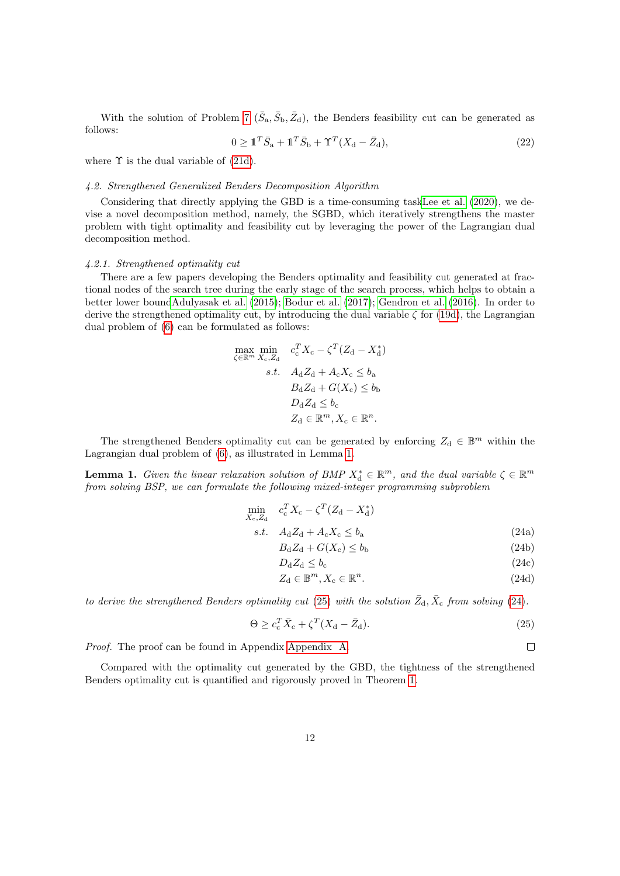With the solution of Problem [7](#page-10-1)  $(\bar{S}_a, \bar{S}_b, \bar{Z}_d)$ , the Benders feasibility cut can be generated as follows:

$$
0 \geq \mathbb{1}^T \bar{S}_a + \mathbb{1}^T \bar{S}_b + \Upsilon^T (X_d - \bar{Z}_d), \tag{22}
$$

where  $\Upsilon$  is the dual variable of [\(21d\)](#page-9-5).

#### 4.2. Strengthened Generalized Benders Decomposition Algorithm

Considering that directly applying the GBD is a time-consuming tas[kLee et al.](#page-19-14) [\(2020\)](#page-19-14), we devise a novel decomposition method, namely, the SGBD, which iteratively strengthens the master problem with tight optimality and feasibility cut by leveraging the power of the Lagrangian dual decomposition method.

#### 4.2.1. Strengthened optimality cut

There are a few papers developing the Benders optimality and feasibility cut generated at fractional nodes of the search tree during the early stage of the search process, which helps to obtain a better lower boun[dAdulyasak et al.](#page-18-14) [\(2015\)](#page-18-14); [Bodur et al.](#page-18-11) [\(2017\)](#page-18-11); [Gendron et al.](#page-19-15) [\(2016\)](#page-19-15). In order to derive the strengthened optimality cut, by introducing the dual variable  $\zeta$  for [\(19d\)](#page-9-5), the Lagrangian dual problem of [\(6\)](#page-10-0) can be formulated as follows:

$$
\max_{\zeta \in \mathbb{R}^m} \min_{X_{\rm c}, Z_{\rm d}} \quad c_{\rm c}^T X_{\rm c} - \zeta^T (Z_{\rm d} - X_{\rm d}^*)
$$
\n
$$
s.t. \quad A_{\rm d} Z_{\rm d} + A_{\rm c} X_{\rm c} \le b_{\rm a}
$$
\n
$$
B_{\rm d} Z_{\rm d} + G(X_{\rm c}) \le b_{\rm b}
$$
\n
$$
D_{\rm d} Z_{\rm d} \le b_{\rm c}
$$
\n
$$
Z_{\rm d} \in \mathbb{R}^m, X_{\rm c} \in \mathbb{R}^n.
$$

The strengthened Benders optimality cut can be generated by enforcing  $Z_d \in \mathbb{B}^m$  within the Lagrangian dual problem of [\(6\)](#page-10-0), as illustrated in Lemma [1.](#page-11-0)

<span id="page-11-0"></span>**Lemma 1.** Given the linear relaxation solution of BMP  $X_d^* \in \mathbb{R}^m$ , and the dual variable  $\zeta \in \mathbb{R}^m$ from solving BSP, we can formulate the following mixed-integer programming subproblem

$$
\min_{X_c, Z_d} c_c^T X_c - \zeta^T (Z_d - X_d^*)
$$
\n
$$
c_c^T X_c - \zeta^T (Z_d - X_d^*)
$$
\n(24a)

$$
s.t. \quad A_d Z_d + A_c X_c \le b_a \tag{24a}
$$

$$
B_{\rm d}Z_{\rm d} + G(X_{\rm c}) \le b_{\rm b} \tag{24b}
$$

$$
D_{\rm d}Z_{\rm d} \le b_{\rm c} \tag{24c}
$$

$$
Z_{\rm c} \subset \mathbb{R}^m \quad \mathbf{Y} \subset \mathbb{R}^n \tag{24d}
$$

$$
Z_{\mathbf{d}} \in \mathbb{B}^m, X_{\mathbf{c}} \in \mathbb{R}^n. \tag{24d}
$$

<span id="page-11-2"></span><span id="page-11-1"></span> $\Box$ 

to derive the strengthened Benders optimality cut [\(25\)](#page-11-1) with the solution  $\bar{Z}_{d}$ ,  $\bar{X}_{c}$  from solving [\(24\)](#page-11-2).

$$
\Theta \ge c_{\rm c}^T \bar{X}_{\rm c} + \zeta^T (X_{\rm d} - \bar{Z}_{\rm d}).\tag{25}
$$

Proof. The proof can be found in Appendix [Appendix A.](#page-16-0)

Compared with the optimality cut generated by the GBD, the tightness of the strengthened Benders optimality cut is quantified and rigorously proved in Theorem [1.](#page-12-0)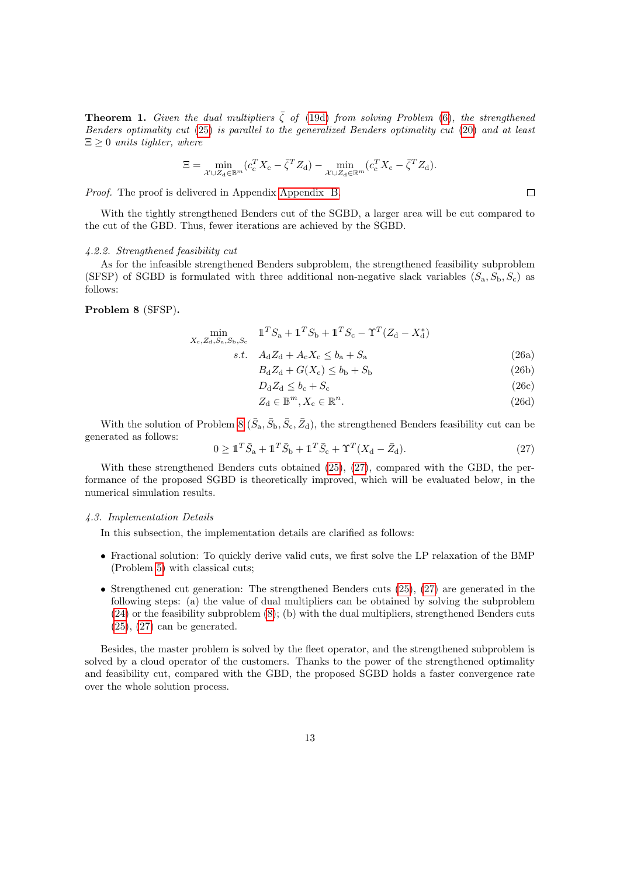<span id="page-12-0"></span>**Theorem 1.** Given the dual multipliers  $\zeta$  of [\(19d\)](#page-9-5) from solving Problem [\(6\)](#page-10-0), the strengthened Benders optimality cut [\(25\)](#page-11-1) is parallel to the generalized Benders optimality cut [\(20\)](#page-10-2) and at least  $\Xi \geq 0$  units tighter, where

$$
\Xi = \min_{\mathcal{X} \cup Z_d \in \mathbb{B}^m} (c_{\mathrm{c}}^T X_{\mathrm{c}} - \bar{\zeta}^T Z_{\mathrm{d}}) - \min_{\mathcal{X} \cup Z_d \in \mathbb{R}^m} (c_{\mathrm{c}}^T X_{\mathrm{c}} - \bar{\zeta}^T Z_{\mathrm{d}}).
$$

Proof. The proof is delivered in Appendix [Appendix B.](#page-16-1)

With the tightly strengthened Benders cut of the SGBD, a larger area will be cut compared to the cut of the GBD. Thus, fewer iterations are achieved by the SGBD.

# 4.2.2. Strengthened feasibility cut

As for the infeasible strengthened Benders subproblem, the strengthened feasibility subproblem (SFSP) of SGBD is formulated with three additional non-negative slack variables  $(S_a, S_b, S_c)$  as follows:

# <span id="page-12-1"></span>Problem 8 (SFSP).

$$
\min_{X_c, Z_d, S_a, S_b, S_c} \quad \mathbb{1}^T S_a + \mathbb{1}^T S_b + \mathbb{1}^T S_c - \Upsilon^T (Z_d - X_d^*)
$$
\n
$$
s.t. \quad A_d Z_d + A_c X_c \le b_a + S_a \tag{26a}
$$

$$
B_d Z_d + G(X_c) \le b_b + S_b \tag{26b}
$$

$$
D_{\rm d}Z_{\rm d} \le b_{\rm c} + S_{\rm c} \tag{26c}
$$

$$
Z_{\mathbf{d}} \in \mathbb{B}^m, X_{\mathbf{c}} \in \mathbb{R}^n. \tag{26d}
$$

With the solution of Problem [8](#page-12-1)  $(\bar{S}_a, \bar{S}_b, \bar{S}_c, \bar{Z}_d)$ , the strengthened Benders feasibility cut can be generated as follows:

<span id="page-12-2"></span>
$$
0 \geq \mathbb{1}^T \bar{S}_a + \mathbb{1}^T \bar{S}_b + \mathbb{1}^T \bar{S}_c + \Upsilon^T (X_d - \bar{Z}_d). \tag{27}
$$

With these strengthened Benders cuts obtained [\(25\)](#page-11-1), [\(27\)](#page-12-2), compared with the GBD, the performance of the proposed SGBD is theoretically improved, which will be evaluated below, in the numerical simulation results.

#### 4.3. Implementation Details

In this subsection, the implementation details are clarified as follows:

- Fractional solution: To quickly derive valid cuts, we first solve the LP relaxation of the BMP (Problem [5\)](#page-10-3) with classical cuts;
- Strengthened cut generation: The strengthened Benders cuts [\(25\)](#page-11-1), [\(27\)](#page-12-2) are generated in the following steps: (a) the value of dual multipliers can be obtained by solving the subproblem [\(24\)](#page-11-2) or the feasibility subproblem [\(8\)](#page-12-1); (b) with the dual multipliers, strengthened Benders cuts  $(25)$ ,  $(27)$  can be generated.

Besides, the master problem is solved by the fleet operator, and the strengthened subproblem is solved by a cloud operator of the customers. Thanks to the power of the strengthened optimality and feasibility cut, compared with the GBD, the proposed SGBD holds a faster convergence rate over the whole solution process.

 $\Box$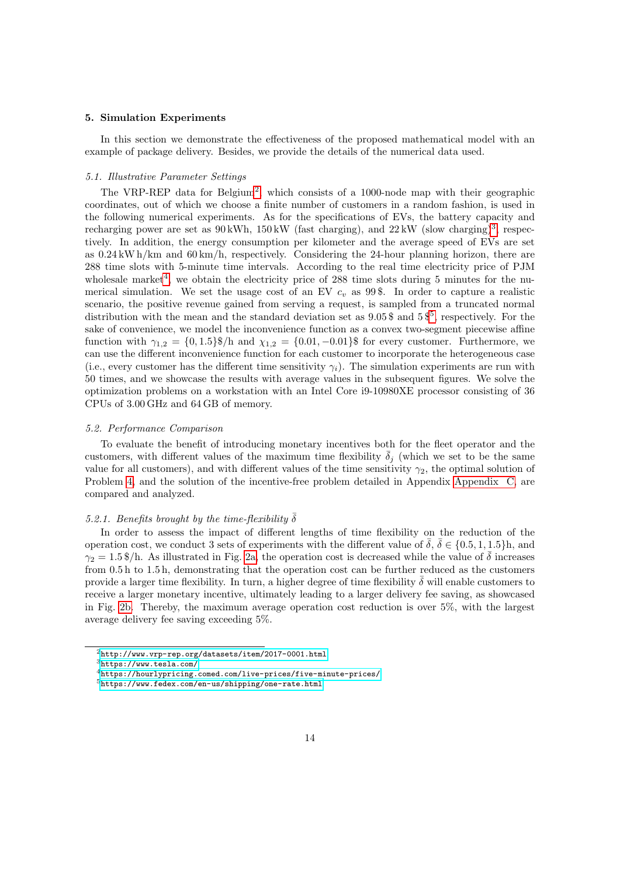#### <span id="page-13-0"></span>5. Simulation Experiments

In this section we demonstrate the effectiveness of the proposed mathematical model with an example of package delivery. Besides, we provide the details of the numerical data used.

# 5.1. Illustrative Parameter Settings

The VRP-REP data for Belgium<sup>[2](#page-13-1)</sup>, which consists of a 1000-node map with their geographic coordinates, out of which we choose a finite number of customers in a random fashion, is used in the following numerical experiments. As for the specifications of EVs, the battery capacity and recharging power are set as  $90 \text{ kWh}$ ,  $150 \text{ kW}$  (fast charging), and  $22 \text{ kW}$  (slow charging)<sup>[3](#page-13-2)</sup>, respectively. In addition, the energy consumption per kilometer and the average speed of EVs are set as  $0.24 \text{ kW h/km}$  and  $60 \text{km/h}$ , respectively. Considering the 24-hour planning horizon, there are 288 time slots with 5-minute time intervals. According to the real time electricity price of PJM wholesale market<sup>[4](#page-13-3)</sup>, we obtain the electricity price of 288 time slots during 5 minutes for the numerical simulation. We set the usage cost of an EV  $c<sub>v</sub>$  as 99\$. In order to capture a realistic scenario, the positive revenue gained from serving a request, is sampled from a truncated normal distribution with the mean and the standard deviation set as  $9.05\$  $9.05\$  $9.05\$  and  $5\frac{5}{7}$ , respectively. For the sake of convenience, we model the inconvenience function as a convex two-segment piecewise affine function with  $\gamma_{1,2} = \{0, 1.5\}\$ /h and  $\chi_{1,2} = \{0.01, -0.01\}\$  for every customer. Furthermore, we can use the different inconvenience function for each customer to incorporate the heterogeneous case (i.e., every customer has the different time sensitivity  $\gamma_i$ ). The simulation experiments are run with 50 times, and we showcase the results with average values in the subsequent figures. We solve the optimization problems on a workstation with an Intel Core i9-10980XE processor consisting of 36 CPUs of 3.00 GHz and 64 GB of memory.

#### 5.2. Performance Comparison

To evaluate the benefit of introducing monetary incentives both for the fleet operator and the customers, with different values of the maximum time flexibility  $\overline{\delta}_j$  (which we set to be the same value for all customers), and with different values of the time sensitivity  $\gamma_2$ , the optimal solution of Problem [4,](#page-9-1) and the solution of the incentive-free problem detailed in Appendix [Appendix C,](#page-17-0) are compared and analyzed.

#### 5.2.1. Benefits brought by the time-flexibility  $\bar{\delta}$

In order to assess the impact of different lengths of time flexibility on the reduction of the operation cost, we conduct 3 sets of experiments with the different value of  $\bar{\delta}$ ,  $\bar{\delta} \in \{0.5, 1, 1.5\}$ h, and  $\gamma_2 = 1.5$  \$/h. As illustrated in Fig. [2a,](#page-14-0) the operation cost is decreased while the value of  $\delta$  increases from 0.5 h to 1.5 h, demonstrating that the operation cost can be further reduced as the customers provide a larger time flexibility. In turn, a higher degree of time flexibility  $\delta$  will enable customers to receive a larger monetary incentive, ultimately leading to a larger delivery fee saving, as showcased in Fig. [2b.](#page-14-0) Thereby, the maximum average operation cost reduction is over 5%, with the largest average delivery fee saving exceeding 5%.

<span id="page-13-1"></span><sup>2</sup><http://www.vrp-rep.org/datasets/item/2017-0001.html>

<span id="page-13-2"></span><sup>3</sup><https://www.tesla.com/>

<span id="page-13-3"></span><sup>4</sup><https://hourlypricing.comed.com/live-prices/five-minute-prices/>

<span id="page-13-4"></span><sup>5</sup><https://www.fedex.com/en-us/shipping/one-rate.html>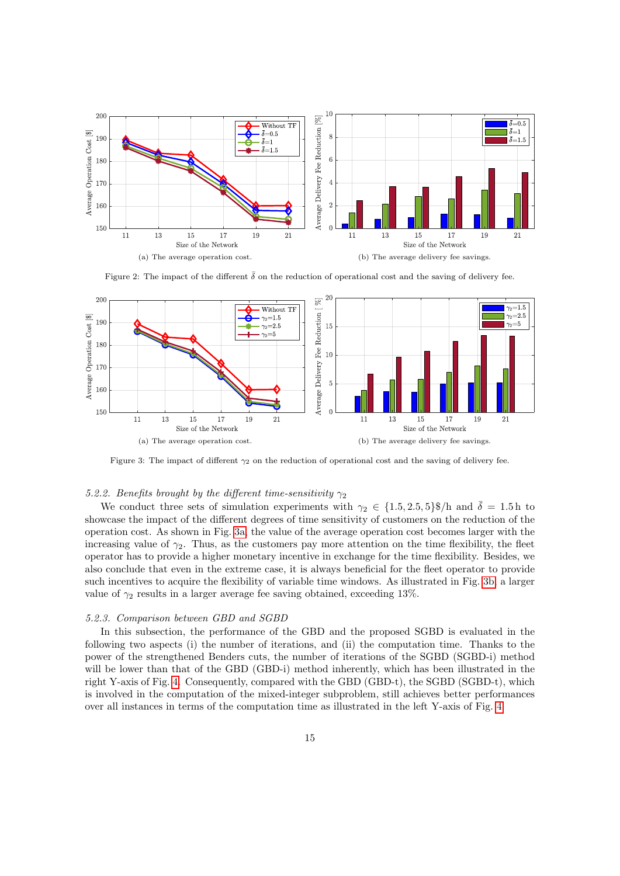<span id="page-14-0"></span>

Figure 2: The impact of the different  $\bar{\delta}$  on the reduction of operational cost and the saving of delivery fee.

<span id="page-14-1"></span>

Figure 3: The impact of different  $\gamma_2$  on the reduction of operational cost and the saving of delivery fee.

# 5.2.2. Benefits brought by the different time-sensitivity  $\gamma_2$

We conduct three sets of simulation experiments with  $\gamma_2 \in \{1.5, 2.5, 5\}\$ /h and  $\bar{\delta} = 1.5$  h to showcase the impact of the different degrees of time sensitivity of customers on the reduction of the operation cost. As shown in Fig. [3a,](#page-14-1) the value of the average operation cost becomes larger with the increasing value of  $\gamma_2$ . Thus, as the customers pay more attention on the time flexibility, the fleet operator has to provide a higher monetary incentive in exchange for the time flexibility. Besides, we also conclude that even in the extreme case, it is always beneficial for the fleet operator to provide such incentives to acquire the flexibility of variable time windows. As illustrated in Fig. [3b,](#page-14-1) a larger value of  $\gamma_2$  results in a larger average fee saving obtained, exceeding 13%.

#### 5.2.3. Comparison between GBD and SGBD

In this subsection, the performance of the GBD and the proposed SGBD is evaluated in the following two aspects (i) the number of iterations, and (ii) the computation time. Thanks to the power of the strengthened Benders cuts, the number of iterations of the SGBD (SGBD-i) method will be lower than that of the GBD (GBD-i) method inherently, which has been illustrated in the right Y-axis of Fig. [4.](#page-15-1) Consequently, compared with the GBD (GBD-t), the SGBD (SGBD-t), which is involved in the computation of the mixed-integer subproblem, still achieves better performances over all instances in terms of the computation time as illustrated in the left Y-axis of Fig. [4.](#page-15-1)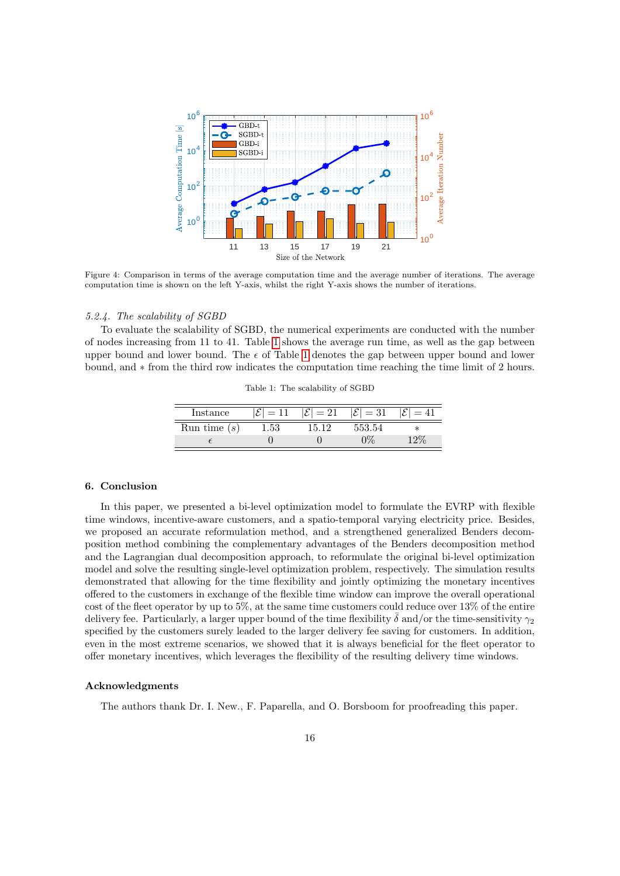<span id="page-15-1"></span>

Figure 4: Comparison in terms of the average computation time and the average number of iterations. The average computation time is shown on the left Y-axis, whilst the right Y-axis shows the number of iterations.

#### 5.2.4. The scalability of SGBD

<span id="page-15-2"></span>To evaluate the scalability of SGBD, the numerical experiments are conducted with the number of nodes increasing from 11 to 41. Table [1](#page-15-2) shows the average run time, as well as the gap between upper bound and lower bound. The  $\epsilon$  of Table [1](#page-15-2) denotes the gap between upper bound and lower bound, and ∗ from the third row indicates the computation time reaching the time limit of 2 hours.

Table 1: The scalability of SGBD

| Instance       |      | $= 21$  | $=$ 31 |         |
|----------------|------|---------|--------|---------|
| Run time $(s)$ | 1.53 | $+5.19$ | 553.54 | $^\ast$ |
|                |      |         |        |         |

#### <span id="page-15-0"></span>6. Conclusion

In this paper, we presented a bi-level optimization model to formulate the EVRP with flexible time windows, incentive-aware customers, and a spatio-temporal varying electricity price. Besides, we proposed an accurate reformulation method, and a strengthened generalized Benders decomposition method combining the complementary advantages of the Benders decomposition method and the Lagrangian dual decomposition approach, to reformulate the original bi-level optimization model and solve the resulting single-level optimization problem, respectively. The simulation results demonstrated that allowing for the time flexibility and jointly optimizing the monetary incentives offered to the customers in exchange of the flexible time window can improve the overall operational cost of the fleet operator by up to 5%, at the same time customers could reduce over 13% of the entire delivery fee. Particularly, a larger upper bound of the time flexibility  $\bar{\delta}$  and/or the time-sensitivity  $\gamma_2$ specified by the customers surely leaded to the larger delivery fee saving for customers. In addition, even in the most extreme scenarios, we showed that it is always beneficial for the fleet operator to offer monetary incentives, which leverages the flexibility of the resulting delivery time windows.

# Acknowledgments

The authors thank Dr. I. New., F. Paparella, and O. Borsboom for proofreading this paper.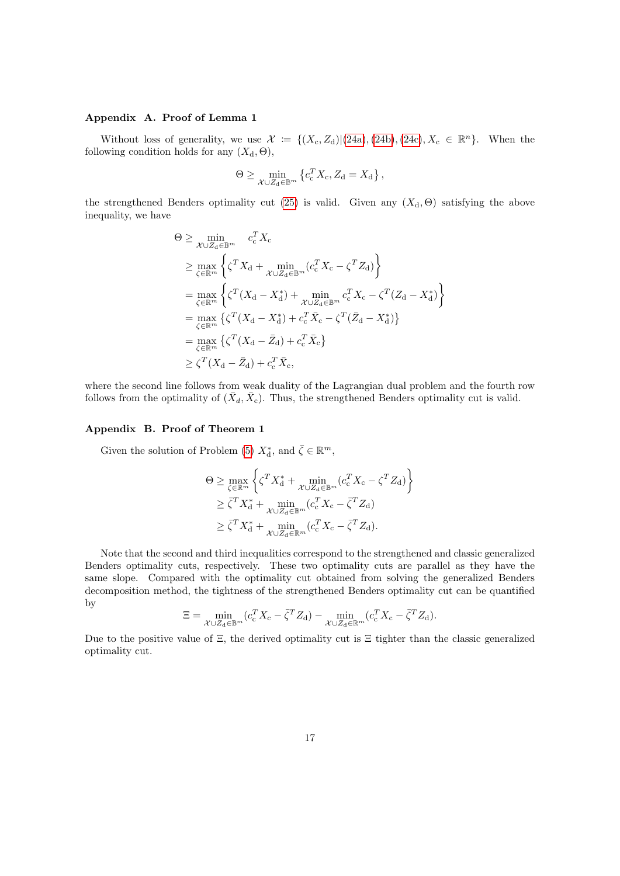# <span id="page-16-0"></span>Appendix A. Proof of Lemma 1

Without loss of generality, we use  $\mathcal{X} := \{ (X_c, Z_d) | (24a), (24b), (24c), X_c \in \mathbb{R}^n \}.$  $\mathcal{X} := \{ (X_c, Z_d) | (24a), (24b), (24c), X_c \in \mathbb{R}^n \}.$  $\mathcal{X} := \{ (X_c, Z_d) | (24a), (24b), (24c), X_c \in \mathbb{R}^n \}.$  $\mathcal{X} := \{ (X_c, Z_d) | (24a), (24b), (24c), X_c \in \mathbb{R}^n \}.$  $\mathcal{X} := \{ (X_c, Z_d) | (24a), (24b), (24c), X_c \in \mathbb{R}^n \}.$  $\mathcal{X} := \{ (X_c, Z_d) | (24a), (24b), (24c), X_c \in \mathbb{R}^n \}.$  $\mathcal{X} := \{ (X_c, Z_d) | (24a), (24b), (24c), X_c \in \mathbb{R}^n \}.$  When the following condition holds for any  $(X_d, \Theta)$ ,

$$
\Theta \ge \min_{\mathcal{X} \cup Z_{\mathrm{d}} \in \mathbb{B}^m} \left\{ c_{\mathrm{c}}^T X_{\mathrm{c}}, Z_{\mathrm{d}} = X_{\mathrm{d}} \right\},\,
$$

the strengthened Benders optimality cut [\(25\)](#page-11-1) is valid. Given any  $(X_d, \Theta)$  satisfying the above inequality, we have

$$
\Theta \geq \min_{\mathcal{X} \cup \mathcal{Z}_{d} \in \mathbb{B}^{m}} c_{c}^{T} X_{c}
$$
\n
$$
\geq \max_{\zeta \in \mathbb{R}^{m}} \left\{ \zeta^{T} X_{d} + \min_{\mathcal{X} \cup \mathcal{Z}_{d} \in \mathbb{B}^{m}} (c_{c}^{T} X_{c} - \zeta^{T} Z_{d}) \right\}
$$
\n
$$
= \max_{\zeta \in \mathbb{R}^{m}} \left\{ \zeta^{T} (X_{d} - X_{d}^{*}) + \min_{\mathcal{X} \cup \mathcal{Z}_{d} \in \mathbb{B}^{m}} c_{c}^{T} X_{c} - \zeta^{T} (Z_{d} - X_{d}^{*}) \right\}
$$
\n
$$
= \max_{\zeta \in \mathbb{R}^{m}} \left\{ \zeta^{T} (X_{d} - X_{d}^{*}) + c_{c}^{T} \bar{X}_{c} - \zeta^{T} (\bar{Z}_{d} - X_{d}^{*}) \right\}
$$
\n
$$
= \max_{\zeta \in \mathbb{R}^{m}} \left\{ \zeta^{T} (X_{d} - \bar{Z}_{d}) + c_{c}^{T} \bar{X}_{c} \right\}
$$
\n
$$
\geq \zeta^{T} (X_{d} - \bar{Z}_{d}) + c_{c}^{T} \bar{X}_{c},
$$

where the second line follows from weak duality of the Lagrangian dual problem and the fourth row follows from the optimality of  $(\bar{X}_d, \bar{X}_c)$ . Thus, the strengthened Benders optimality cut is valid.

# <span id="page-16-1"></span>Appendix B. Proof of Theorem 1

Given the solution of Problem [\(5\)](#page-10-3)  $X_{\mathrm{d}}^*$ , and  $\bar{\zeta} \in \mathbb{R}^m$ ,

$$
\Theta \ge \max_{\zeta \in \mathbb{R}^m} \left\{ \zeta^T X_d^* + \min_{\mathcal{X} \cup Z_d \in \mathbb{B}^m} (c_c^T X_c - \zeta^T Z_d) \right\}
$$
  
\n
$$
\ge \overline{\zeta}^T X_d^* + \min_{\mathcal{X} \cup Z_d \in \mathbb{B}^m} (c_c^T X_c - \overline{\zeta}^T Z_d)
$$
  
\n
$$
\ge \overline{\zeta}^T X_d^* + \min_{\mathcal{X} \cup Z_d \in \mathbb{R}^m} (c_c^T X_c - \overline{\zeta}^T Z_d).
$$

Note that the second and third inequalities correspond to the strengthened and classic generalized Benders optimality cuts, respectively. These two optimality cuts are parallel as they have the same slope. Compared with the optimality cut obtained from solving the generalized Benders decomposition method, the tightness of the strengthened Benders optimality cut can be quantified by

$$
\Xi = \min_{\mathcal{X} \cup Z_d \in \mathbb{B}^m} (c_{\rm c}^T X_{\rm c} - \bar{\zeta}^T Z_{\rm d}) - \min_{\mathcal{X} \cup Z_d \in \mathbb{R}^m} (c_{\rm c}^T X_{\rm c} - \bar{\zeta}^T Z_{\rm d}).
$$

Due to the positive value of  $\Xi$ , the derived optimality cut is  $\Xi$  tighter than the classic generalized optimality cut.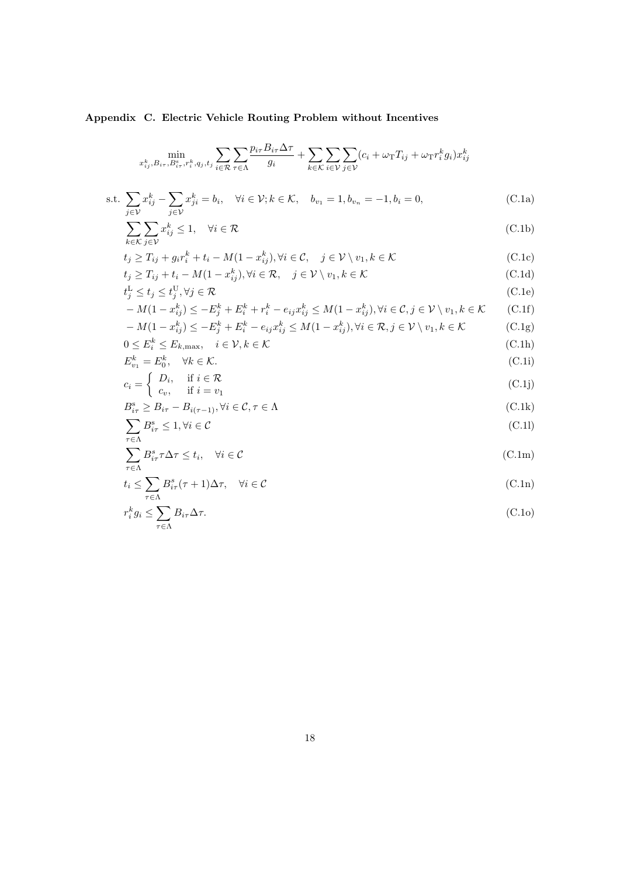# <span id="page-17-0"></span>Appendix C. Electric Vehicle Routing Problem without Incentives

$$
\min_{x_{ij}^k, B_{i\tau}, B_{i\tau}^s, r_i^k, q_j, t_j} \sum_{i \in \mathcal{R}} \sum_{\tau \in \Lambda} \frac{p_{i\tau} B_{i\tau} \Delta \tau}{g_i} + \sum_{k \in \mathcal{K}} \sum_{i \in \mathcal{V}} \sum_{j \in \mathcal{V}} (c_i + \omega_{\text{T}} T_{ij} + \omega_{\text{T}} r_i^k g_i) x_{ij}^k
$$
\n
$$
\text{s.t. } \sum_{j \in \mathcal{V}} x_{ij}^k - \sum_{j \in \mathcal{V}} x_{ji}^k = b_i, \quad \forall i \in \mathcal{V}; k \in \mathcal{K}, \quad b_{v_1} = 1, b_{v_n} = -1, b_i = 0,
$$
\n(C.1a)\n
$$
\sum_{k \in \mathcal{K}} \sum_{j \in \mathcal{V}} x_{ij}^k \le 1, \quad \forall i \in \mathcal{R}
$$
\n(C.1b)

$$
t_j \ge T_{ij} + g_i r_i^k + t_i - M(1 - x_{ij}^k), \forall i \in \mathcal{C}, \quad j \in \mathcal{V} \setminus v_1, k \in \mathcal{K}
$$
\n(C.1c)

$$
t_j \ge T_{ij} + t_i - M(1 - x_{ij}^k), \forall i \in \mathcal{R}, \quad j \in \mathcal{V} \setminus v_1, k \in \mathcal{K}
$$
\n(C.1d)

$$
t_j^{\mathrm{L}} \le t_j \le t_j^{\mathrm{U}}, \forall j \in \mathcal{R} \tag{C.1e}
$$

$$
-M(1-x_{ij}^k) \le -E_j^k + E_i^k + r_i^k - e_{ij}x_{ij}^k \le M(1-x_{ij}^k), \forall i \in \mathcal{C}, j \in \mathcal{V} \setminus v_1, k \in \mathcal{K}
$$
 (C.1f)  

$$
-M(1-x_{ij}^k) \le -E_j^k + E_i^k - e_{ij}x_{ij}^k \le M(1-x_{ij}^k), \forall i \in \mathcal{R}, j \in \mathcal{V} \setminus v_1, k \in \mathcal{K}
$$
 (C.1g)

$$
-M(1-x_{ij}^k) \le -E_j^k + E_i^k - e_{ij}x_{ij}^k \le M(1-x_{ij}^k), \forall i \in \mathcal{R}, j \in \mathcal{V} \setminus v_1, k \in \mathcal{K}
$$
(C.1g)

$$
0 \le E_i^k \le E_{k,\max}, \quad i \in \mathcal{V}, k \in \mathcal{K}
$$
  
\n
$$
E_{v_1}^k = E_0^k, \quad \forall k \in \mathcal{K}.
$$
  
\n(C.1h)

$$
c_i = \begin{cases} D_i, & \text{if } i \in \mathcal{R} \\ c_v, & \text{if } i = v_1 \end{cases}
$$
 (C.1j)

$$
B_{i\tau}^s \geq B_{i\tau} - B_{i(\tau - 1)}, \forall i \in \mathcal{C}, \tau \in \Lambda
$$
\n(C.1k)

$$
\sum_{\tau \in \Lambda} B_{i\tau}^s \le 1, \forall i \in \mathcal{C}
$$
\n(C.11)

$$
\sum_{\tau \in \Lambda} B_{i\tau}^s \tau \Delta \tau \le t_i, \quad \forall i \in \mathcal{C}
$$
\n(C.1m)

$$
t_i \le \sum_{\tau \in \Lambda} B_{i\tau}^s(\tau + 1) \Delta \tau, \quad \forall i \in \mathcal{C}
$$
\n(C.1n)

$$
r_i^k g_i \le \sum_{\tau \in \Lambda} B_{i\tau} \Delta \tau. \tag{C.10}
$$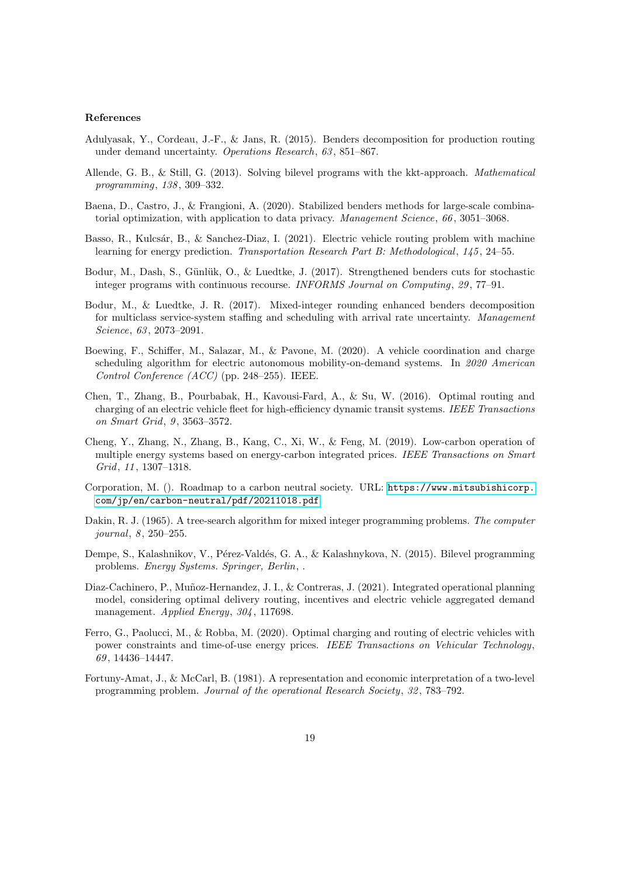# References

- <span id="page-18-14"></span>Adulyasak, Y., Cordeau, J.-F., & Jans, R. (2015). Benders decomposition for production routing under demand uncertainty. Operations Research, 63 , 851–867.
- <span id="page-18-6"></span>Allende, G. B., & Still, G. (2013). Solving bilevel programs with the kkt-approach. Mathematical programming, 138 , 309–332.
- <span id="page-18-13"></span>Baena, D., Castro, J., & Frangioni, A. (2020). Stabilized benders methods for large-scale combinatorial optimization, with application to data privacy. Management Science, 66, 3051–3068.
- <span id="page-18-1"></span>Basso, R., Kulcsár, B., & Sanchez-Diaz, I. (2021). Electric vehicle routing problem with machine learning for energy prediction. Transportation Research Part B: Methodological, 145, 24–55.
- <span id="page-18-11"></span>Bodur, M., Dash, S., Günlük, O., & Luedtke, J. (2017). Strengthened benders cuts for stochastic integer programs with continuous recourse. INFORMS Journal on Computing, 29, 77-91.
- <span id="page-18-12"></span>Bodur, M., & Luedtke, J. R. (2017). Mixed-integer rounding enhanced benders decomposition for multiclass service-system staffing and scheduling with arrival rate uncertainty. Management Science, 63, 2073-2091.
- <span id="page-18-3"></span>Boewing, F., Schiffer, M., Salazar, M., & Pavone, M. (2020). A vehicle coordination and charge scheduling algorithm for electric autonomous mobility-on-demand systems. In 2020 American Control Conference (ACC) (pp. 248–255). IEEE.
- <span id="page-18-5"></span>Chen, T., Zhang, B., Pourbabak, H., Kavousi-Fard, A., & Su, W. (2016). Optimal routing and charging of an electric vehicle fleet for high-efficiency dynamic transit systems. IEEE Transactions on Smart Grid, 9, 3563-3572.
- <span id="page-18-7"></span>Cheng, Y., Zhang, N., Zhang, B., Kang, C., Xi, W., & Feng, M. (2019). Low-carbon operation of multiple energy systems based on energy-carbon integrated prices. IEEE Transactions on Smart Grid, 11 , 1307–1318.
- <span id="page-18-0"></span>Corporation, M. (). Roadmap to a carbon neutral society. URL: [https://www.mitsubishicorp.](https://www.mitsubishicorp.com/jp/en/carbon-neutral/pdf/20211018.pdf) [com/jp/en/carbon-neutral/pdf/20211018.pdf](https://www.mitsubishicorp.com/jp/en/carbon-neutral/pdf/20211018.pdf).
- <span id="page-18-10"></span>Dakin, R. J. (1965). A tree-search algorithm for mixed integer programming problems. The computer journal, 8, 250–255.
- <span id="page-18-8"></span>Dempe, S., Kalashnikov, V., Pérez-Valdés, G. A., & Kalashnykova, N. (2015). Bilevel programming problems. Energy Systems. Springer, Berlin, .
- <span id="page-18-2"></span>Diaz-Cachinero, P., Muñoz-Hernandez, J. I., & Contreras, J. (2021). Integrated operational planning model, considering optimal delivery routing, incentives and electric vehicle aggregated demand management. Applied Energy, 304, 117698.
- <span id="page-18-4"></span>Ferro, G., Paolucci, M., & Robba, M. (2020). Optimal charging and routing of electric vehicles with power constraints and time-of-use energy prices. IEEE Transactions on Vehicular Technology, 69 , 14436–14447.
- <span id="page-18-9"></span>Fortuny-Amat, J., & McCarl, B. (1981). A representation and economic interpretation of a two-level programming problem. Journal of the operational Research Society, 32 , 783–792.